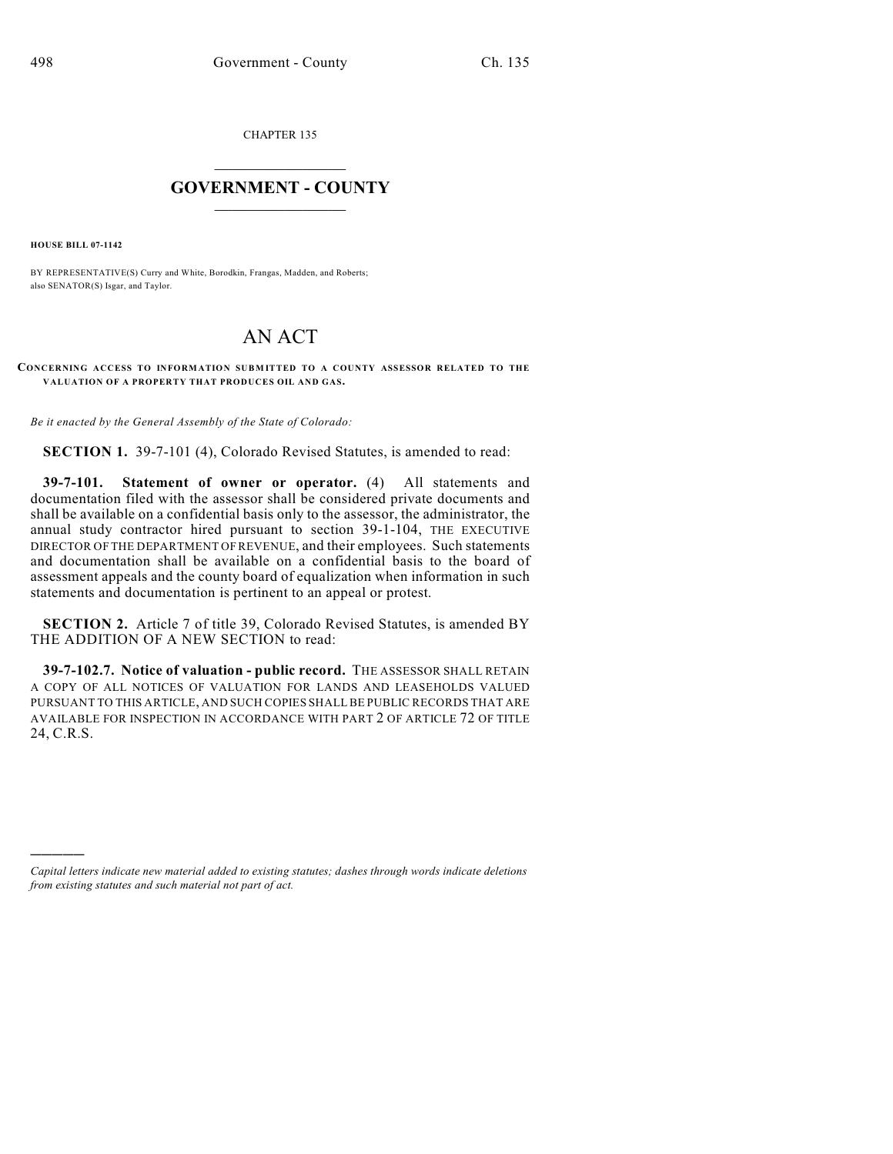CHAPTER 135

## $\mathcal{L}_\text{max}$  . The set of the set of the set of the set of the set of the set of the set of the set of the set of the set of the set of the set of the set of the set of the set of the set of the set of the set of the set **GOVERNMENT - COUNTY**  $\_$

**HOUSE BILL 07-1142**

)))))

BY REPRESENTATIVE(S) Curry and White, Borodkin, Frangas, Madden, and Roberts; also SENATOR(S) Isgar, and Taylor.

## AN ACT

## **CONCERNING ACCESS TO INFORMATION SUBMITTED TO A COUNTY ASSESSOR RELATED TO THE VALUATION OF A PROPERTY THAT PRODUCES OIL AND GAS.**

*Be it enacted by the General Assembly of the State of Colorado:*

**SECTION 1.** 39-7-101 (4), Colorado Revised Statutes, is amended to read:

**39-7-101. Statement of owner or operator.** (4) All statements and documentation filed with the assessor shall be considered private documents and shall be available on a confidential basis only to the assessor, the administrator, the annual study contractor hired pursuant to section 39-1-104, THE EXECUTIVE DIRECTOR OF THE DEPARTMENT OF REVENUE, and their employees. Such statements and documentation shall be available on a confidential basis to the board of assessment appeals and the county board of equalization when information in such statements and documentation is pertinent to an appeal or protest.

**SECTION 2.** Article 7 of title 39, Colorado Revised Statutes, is amended BY THE ADDITION OF A NEW SECTION to read:

**39-7-102.7. Notice of valuation - public record.** THE ASSESSOR SHALL RETAIN A COPY OF ALL NOTICES OF VALUATION FOR LANDS AND LEASEHOLDS VALUED PURSUANT TO THIS ARTICLE, AND SUCH COPIES SHALL BE PUBLIC RECORDS THAT ARE AVAILABLE FOR INSPECTION IN ACCORDANCE WITH PART 2 OF ARTICLE 72 OF TITLE 24, C.R.S.

*Capital letters indicate new material added to existing statutes; dashes through words indicate deletions from existing statutes and such material not part of act.*